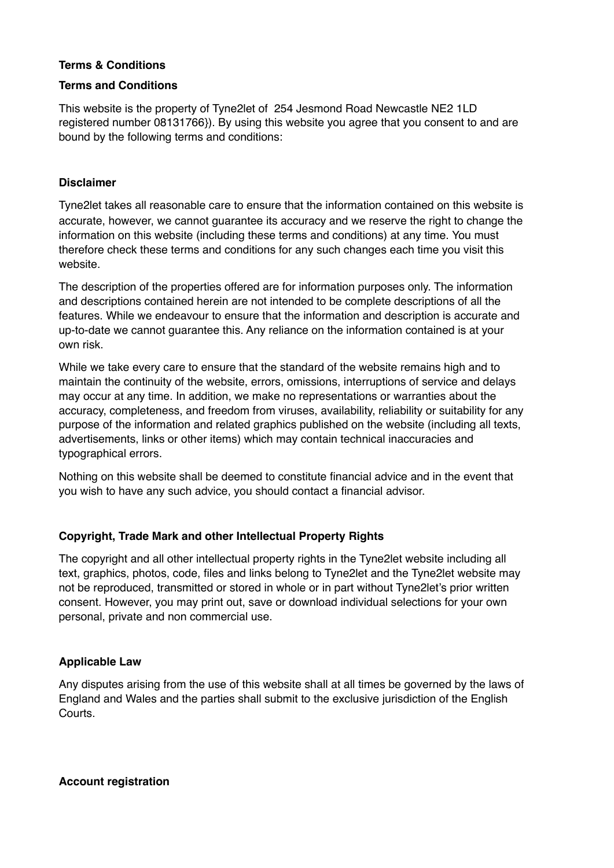## **Terms & Conditions**

### **Terms and Conditions**

This website is the property of Tyne2let of 254 Jesmond Road Newcastle NE2 1LD registered number 08131766}). By using this website you agree that you consent to and are bound by the following terms and conditions:

## **Disclaimer**

Tyne2let takes all reasonable care to ensure that the information contained on this website is accurate, however, we cannot guarantee its accuracy and we reserve the right to change the information on this website (including these terms and conditions) at any time. You must therefore check these terms and conditions for any such changes each time you visit this website.

The description of the properties offered are for information purposes only. The information and descriptions contained herein are not intended to be complete descriptions of all the features. While we endeavour to ensure that the information and description is accurate and up-to-date we cannot guarantee this. Any reliance on the information contained is at your own risk.

While we take every care to ensure that the standard of the website remains high and to maintain the continuity of the website, errors, omissions, interruptions of service and delays may occur at any time. In addition, we make no representations or warranties about the accuracy, completeness, and freedom from viruses, availability, reliability or suitability for any purpose of the information and related graphics published on the website (including all texts, advertisements, links or other items) which may contain technical inaccuracies and typographical errors.

Nothing on this website shall be deemed to constitute financial advice and in the event that you wish to have any such advice, you should contact a financial advisor.

# **Copyright, Trade Mark and other Intellectual Property Rights**

The copyright and all other intellectual property rights in the Tyne2let website including all text, graphics, photos, code, files and links belong to Tyne2let and the Tyne2let website may not be reproduced, transmitted or stored in whole or in part without Tyne2let's prior written consent. However, you may print out, save or download individual selections for your own personal, private and non commercial use.

### **Applicable Law**

Any disputes arising from the use of this website shall at all times be governed by the laws of England and Wales and the parties shall submit to the exclusive jurisdiction of the English Courts.

**Account registration**